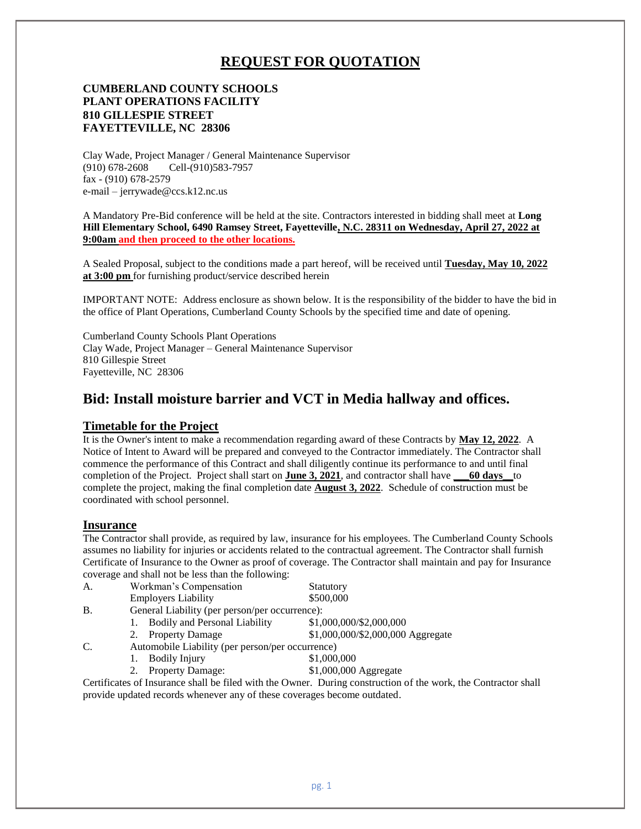# **REQUEST FOR QUOTATION**

#### **CUMBERLAND COUNTY SCHOOLS PLANT OPERATIONS FACILITY 810 GILLESPIE STREET FAYETTEVILLE, NC 28306**

Clay Wade, Project Manager / General Maintenance Supervisor (910) 678-2608 Cell-(910)583-7957 fax - (910) 678-2579 e-mail – jerrywade@ccs.k12.nc.us

A Mandatory Pre-Bid conference will be held at the site. Contractors interested in bidding shall meet at **Long Hill Elementary School, 6490 Ramsey Street, Fayetteville, N.C. 28311 on Wednesday, April 27, 2022 at 9:00am and then proceed to the other locations.**

A Sealed Proposal, subject to the conditions made a part hereof, will be received until **Tuesday, May 10, 2022 at 3:00 pm** for furnishing product/service described herein

IMPORTANT NOTE: Address enclosure as shown below. It is the responsibility of the bidder to have the bid in the office of Plant Operations, Cumberland County Schools by the specified time and date of opening.

Cumberland County Schools Plant Operations Clay Wade, Project Manager – General Maintenance Supervisor 810 Gillespie Street Fayetteville, NC 28306

## **Bid: Install moisture barrier and VCT in Media hallway and offices.**

#### **Timetable for the Project**

It is the Owner's intent to make a recommendation regarding award of these Contracts by **May 12, 2022**. A Notice of Intent to Award will be prepared and conveyed to the Contractor immediately. The Contractor shall commence the performance of this Contract and shall diligently continue its performance to and until final completion of the Project. Project shall start on **June 3, 2021**, and contractor shall have **\_\_\_60 days\_\_**to complete the project, making the final completion date **August 3, 2022**. Schedule of construction must be coordinated with school personnel.

#### **Insurance**

The Contractor shall provide, as required by law, insurance for his employees. The Cumberland County Schools assumes no liability for injuries or accidents related to the contractual agreement. The Contractor shall furnish Certificate of Insurance to the Owner as proof of coverage. The Contractor shall maintain and pay for Insurance coverage and shall not be less than the following:

| A. | Workman's Compensation                         | Statutory                                        |  |  |  |
|----|------------------------------------------------|--------------------------------------------------|--|--|--|
|    | <b>Employers Liability</b>                     | \$500,000                                        |  |  |  |
| B. | General Liability (per person/per occurrence): |                                                  |  |  |  |
|    | <b>Bodily and Personal Liability</b>           | \$1,000,000/\$2,000,000                          |  |  |  |
|    | <b>Property Damage</b>                         | \$1,000,000/\$2,000,000 Aggregate                |  |  |  |
| C. |                                                | Automobile Liability (per person/per occurrence) |  |  |  |
|    | <b>Bodily Injury</b>                           | \$1,000,000                                      |  |  |  |
|    | <b>Property Damage:</b>                        | \$1,000,000 Aggregate                            |  |  |  |
|    |                                                |                                                  |  |  |  |

Certificates of Insurance shall be filed with the Owner. During construction of the work, the Contractor shall provide updated records whenever any of these coverages become outdated.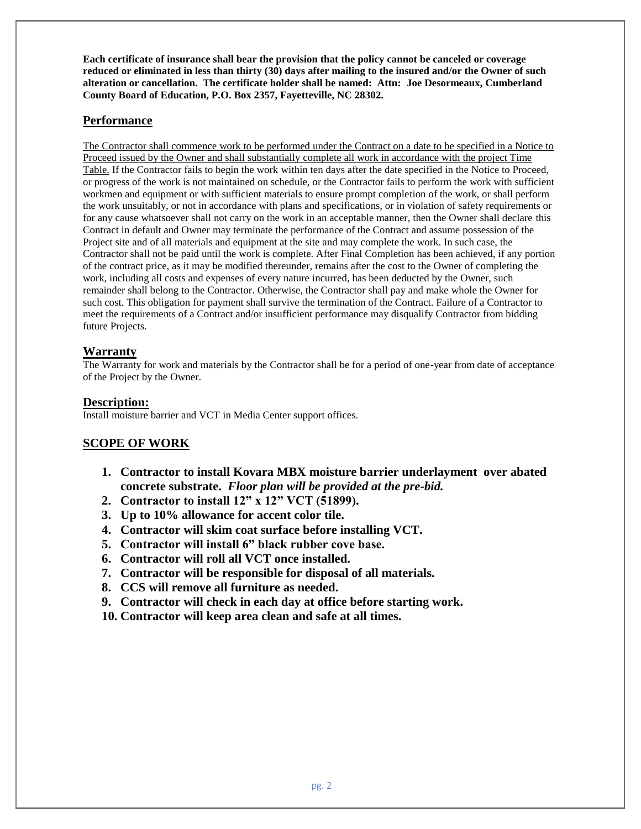**Each certificate of insurance shall bear the provision that the policy cannot be canceled or coverage reduced or eliminated in less than thirty (30) days after mailing to the insured and/or the Owner of such alteration or cancellation. The certificate holder shall be named: Attn: Joe Desormeaux, Cumberland County Board of Education, P.O. Box 2357, Fayetteville, NC 28302.**

## **Performance**

The Contractor shall commence work to be performed under the Contract on a date to be specified in a Notice to Proceed issued by the Owner and shall substantially complete all work in accordance with the project Time Table. If the Contractor fails to begin the work within ten days after the date specified in the Notice to Proceed, or progress of the work is not maintained on schedule, or the Contractor fails to perform the work with sufficient workmen and equipment or with sufficient materials to ensure prompt completion of the work, or shall perform the work unsuitably, or not in accordance with plans and specifications, or in violation of safety requirements or for any cause whatsoever shall not carry on the work in an acceptable manner, then the Owner shall declare this Contract in default and Owner may terminate the performance of the Contract and assume possession of the Project site and of all materials and equipment at the site and may complete the work. In such case, the Contractor shall not be paid until the work is complete. After Final Completion has been achieved, if any portion of the contract price, as it may be modified thereunder, remains after the cost to the Owner of completing the work, including all costs and expenses of every nature incurred, has been deducted by the Owner, such remainder shall belong to the Contractor. Otherwise, the Contractor shall pay and make whole the Owner for such cost. This obligation for payment shall survive the termination of the Contract. Failure of a Contractor to meet the requirements of a Contract and/or insufficient performance may disqualify Contractor from bidding future Projects.

## **Warranty**

The Warranty for work and materials by the Contractor shall be for a period of one-year from date of acceptance of the Project by the Owner.

### **Description:**

Install moisture barrier and VCT in Media Center support offices.

## **SCOPE OF WORK**

- **1. Contractor to install Kovara MBX moisture barrier underlayment over abated concrete substrate.** *Floor plan will be provided at the pre-bid.*
- **2. Contractor to install 12" x 12" VCT (51899).**
- **3. Up to 10% allowance for accent color tile.**
- **4. Contractor will skim coat surface before installing VCT.**
- **5. Contractor will install 6" black rubber cove base.**
- **6. Contractor will roll all VCT once installed.**
- **7. Contractor will be responsible for disposal of all materials.**
- **8. CCS will remove all furniture as needed.**
- **9. Contractor will check in each day at office before starting work.**
- **10. Contractor will keep area clean and safe at all times.**